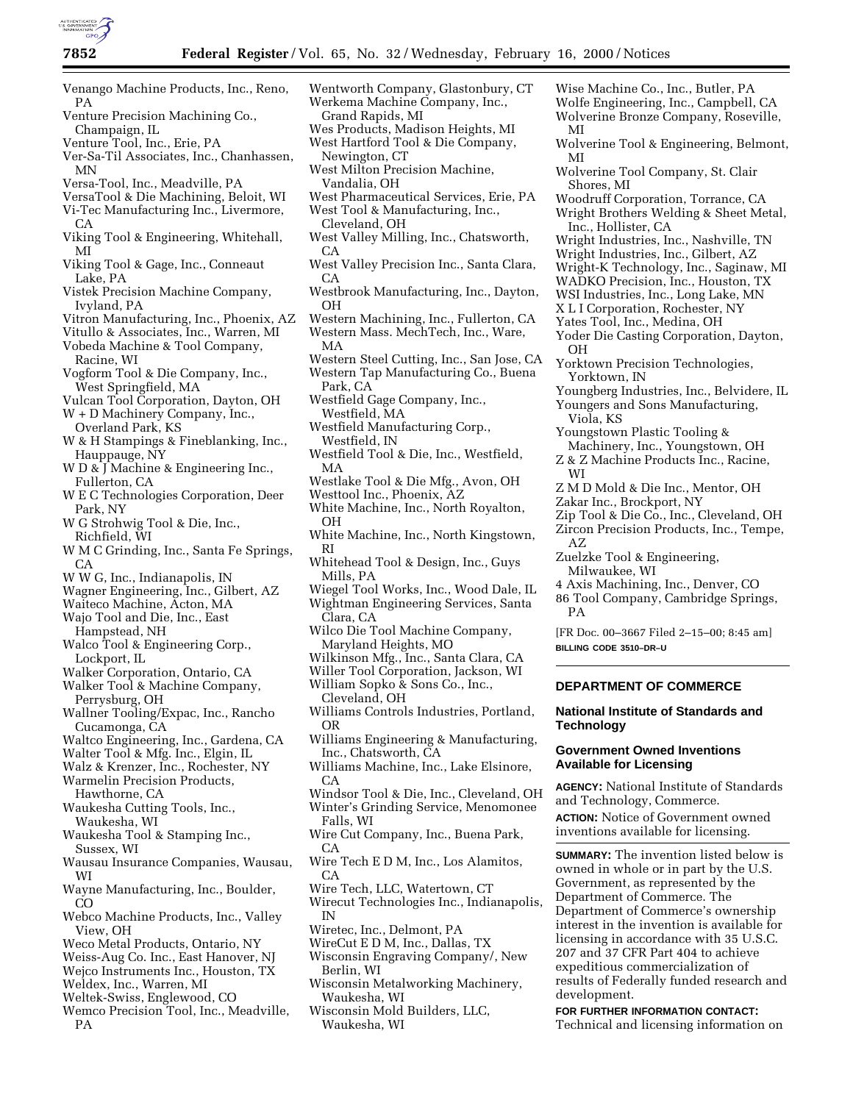

- Venango Machine Products, Inc., Reno, PA
- Venture Precision Machining Co., Champaign, IL
- Venture Tool, Inc., Erie, PA
- Ver-Sa-Til Associates, Inc., Chanhassen, MN
- Versa-Tool, Inc., Meadville, PA
- VersaTool & Die Machining, Beloit, WI Vi-Tec Manufacturing Inc., Livermore, CA
- Viking Tool & Engineering, Whitehall, MI
- Viking Tool & Gage, Inc., Conneaut Lake, PA
- Vistek Precision Machine Company, Ivyland, PA
- Vitron Manufacturing, Inc., Phoenix, AZ
- Vitullo & Associates, Inc., Warren, MI
- Vobeda Machine & Tool Company, Racine, WI
- Vogform Tool & Die Company, Inc., West Springfield, MA
- Vulcan Tool Corporation, Dayton, OH
- W + D Machinery Company, Inc., Overland Park, KS
- W & H Stampings & Fineblanking, Inc., Hauppauge, NY
- W D & J Machine & Engineering Inc., Fullerton, CA
- W E C Technologies Corporation, Deer Park, NY
- W G Strohwig Tool & Die, Inc., Richfield, WI
- W M C Grinding, Inc., Santa Fe Springs,  $C.A$
- W W G, Inc., Indianapolis, IN
- Wagner Engineering, Inc., Gilbert, AZ
- Waiteco Machine, Acton, MA
- Wajo Tool and Die, Inc., East
- Hampstead, NH
- Walco Tool & Engineering Corp., Lockport, IL
- Walker Corporation, Ontario, CA
- Walker Tool & Machine Company, Perrysburg, OH
- Wallner Tooling/Expac, Inc., Rancho Cucamonga, CA
- Waltco Engineering, Inc., Gardena, CA
- Walter Tool & Mfg. Inc., Elgin, IL
- Walz & Krenzer, Inc., Rochester, NY
- Warmelin Precision Products,
- Hawthorne, CA Waukesha Cutting Tools, Inc.,
- Waukesha, WI
- Waukesha Tool & Stamping Inc., Sussex, WI
- Wausau Insurance Companies, Wausau, WI
- Wayne Manufacturing, Inc., Boulder, CO
- Webco Machine Products, Inc., Valley View, OH
- Weco Metal Products, Ontario, NY
- Weiss-Aug Co. Inc., East Hanover, NJ
- Wejco Instruments Inc., Houston, TX
- Weldex, Inc., Warren, MI
- Weltek-Swiss, Englewood, CO
- Wemco Precision Tool, Inc., Meadville, PA
- Wentworth Company, Glastonbury, CT Werkema Machine Company, Inc., Grand Rapids, MI
- Wes Products, Madison Heights, MI West Hartford Tool & Die Company, Newington, CT
- West Milton Precision Machine, Vandalia, OH
- West Pharmaceutical Services, Erie, PA West Tool & Manufacturing, Inc.,
- Cleveland, OH West Valley Milling, Inc., Chatsworth, CA
- West Valley Precision Inc., Santa Clara, CA
- Westbrook Manufacturing, Inc., Dayton, OH
- Western Machining, Inc., Fullerton, CA Western Mass. MechTech, Inc., Ware,
- MA
- Western Steel Cutting, Inc., San Jose, CA
- Western Tap Manufacturing Co., Buena Park, CA
- Westfield Gage Company, Inc., Westfield, MA
- Westfield Manufacturing Corp., Westfield, IN
- Westfield Tool & Die, Inc., Westfield, MA
- Westlake Tool & Die Mfg., Avon, OH
- Westtool Inc., Phoenix, AZ White Machine, Inc., North Royalton,
- OH White Machine, Inc., North Kingstown, RI
- Whitehead Tool & Design, Inc., Guys Mills, PA
- Wiegel Tool Works, Inc., Wood Dale, IL Wightman Engineering Services, Santa
- Clara, CA
- Wilco Die Tool Machine Company, Maryland Heights, MO
- Wilkinson Mfg., Inc., Santa Clara, CA
- Willer Tool Corporation, Jackson, WI
- William Sopko & Sons Co., Inc., Cleveland, OH
- Williams Controls Industries, Portland, OR
- Williams Engineering & Manufacturing, Inc., Chatsworth, CA
- Williams Machine, Inc., Lake Elsinore,  $C_A$
- Windsor Tool & Die, Inc., Cleveland, OH Winter's Grinding Service, Menomonee
- Falls, WI Wire Cut Company, Inc., Buena Park,
- CA
- Wire Tech E D M, Inc., Los Alamitos, CA
- Wire Tech, LLC, Watertown, CT
- Wirecut Technologies Inc., Indianapolis, IN
- Wiretec, Inc., Delmont, PA
- WireCut E D M, Inc., Dallas, TX
- Wisconsin Engraving Company/, New Berlin, WI
- Wisconsin Metalworking Machinery, Waukesha, WI
- Wisconsin Mold Builders, LLC, Waukesha, WI
- Wise Machine Co., Inc., Butler, PA Wolfe Engineering, Inc., Campbell, CA Wolverine Bronze Company, Roseville,
- MI Wolverine Tool & Engineering, Belmont, MI
- Wolverine Tool Company, St. Clair Shores, MI
- Woodruff Corporation, Torrance, CA
- Wright Brothers Welding & Sheet Metal, Inc., Hollister, CA
- Wright Industries, Inc., Nashville, TN
- Wright Industries, Inc., Gilbert, AZ
- Wright-K Technology, Inc., Saginaw, MI
- WADKO Precision, Inc., Houston, TX
- WSI Industries, Inc., Long Lake, MN X L I Corporation, Rochester, NY
- Yates Tool, Inc., Medina, OH
- Yoder Die Casting Corporation, Dayton, OH
- Yorktown Precision Technologies, Yorktown, IN

Youngstown Plastic Tooling &

Zakar Inc., Brockport, NY

Zuelzke Tool & Engineering,

Milwaukee, WI

**BILLING CODE 3510–DR–U**

**Technology**

development.

Viola, KS

WI

AZ

PA

Youngberg Industries, Inc., Belvidere, IL Youngers and Sons Manufacturing,

Machinery, Inc., Youngstown, OH Z & Z Machine Products Inc., Racine,

Zip Tool & Die Co., Inc., Cleveland, OH Zircon Precision Products, Inc., Tempe,

Z M D Mold & Die Inc., Mentor, OH

4 Axis Machining, Inc., Denver, CO 86 Tool Company, Cambridge Springs,

[FR Doc. 00–3667 Filed 2–15–00; 8:45 am]

**DEPARTMENT OF COMMERCE**

**Government Owned Inventions Available for Licensing**

and Technology, Commerce.

**National Institute of Standards and**

**AGENCY:** National Institute of Standards

**ACTION:** Notice of Government owned inventions available for licensing.

**SUMMARY:** The invention listed below is owned in whole or in part by the U.S. Government, as represented by the Department of Commerce. The Department of Commerce's ownership interest in the invention is available for licensing in accordance with 35 U.S.C. 207 and 37 CFR Part 404 to achieve expeditious commercialization of results of Federally funded research and

**FOR FURTHER INFORMATION CONTACT:** Technical and licensing information on